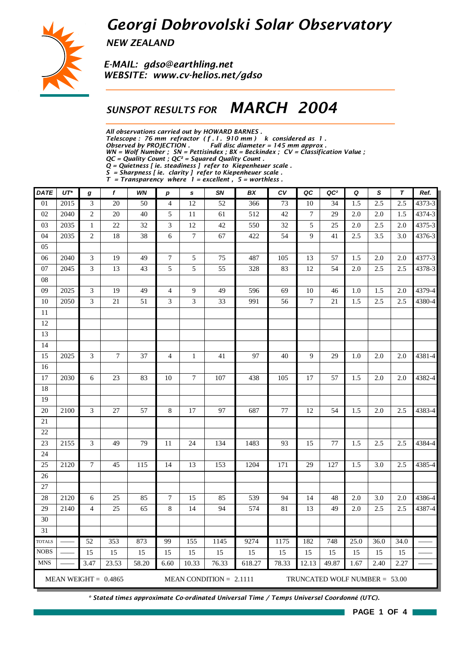## *Georgi Dobrovolski Solar Observatory*



*NEW ZEALAND*

*E-MAIL: gdso@earthling.net WEBSITE: www.cv-helios.net/gdso*

### *SUNSPOT RESULTS FOR MARCH 2004*

*All observations carried out by HOWARD BARNES .*

*Telescope : 76 mm refractor ( f . l . 910 mm ) k considered as 1 .*

*Observed by PROJECTION . Full disc diameter = 145 mm approx .*

*WN = Wolf Number ; SN = Pettisindex ; BX = Beckindex ; CV = Classification Value ;*

*QC = Quality Count ; QC² = Squared Quality Count .*

*Q = Quietness [ ie. steadiness ] refer to Kiepenheuer scale .*

*S = Sharpness [ ie. clarity ] refer to Kiepenheuer scale . T = Transparency where 1 = excellent , 5 = worthless .*

| <b>DATE</b>     | $UT^*$ | g                           | f                      | WN    | $\boldsymbol{p}$ | s                | SN                        | BX     | c <sub>V</sub> | QC    | QC <sup>2</sup>                 | Q    | S    | $\boldsymbol{\tau}$ | Ref.   |
|-----------------|--------|-----------------------------|------------------------|-------|------------------|------------------|---------------------------|--------|----------------|-------|---------------------------------|------|------|---------------------|--------|
| $\overline{01}$ | 2015   | $\mathfrak 3$               | 20                     | 50    | $\overline{4}$   | 12               | 52                        | 366    | 73             | 10    | 34                              | 1.5  | 2.5  | 2.5                 | 4373-3 |
| 02              | 2040   | $\sqrt{2}$                  | 20                     | 40    | 5                | 11               | 61                        | 512    | 42             | 7     | 29                              | 2.0  | 2.0  | 1.5                 | 4374-3 |
| 03              | 2035   | $\mathbf{1}$                | 22                     | 32    | 3                | 12               | 42                        | 550    | 32             | 5     | 25                              | 2.0  | 2.5  | 2.0                 | 4375-3 |
| 04              | 2035   | $\sqrt{2}$                  | 18                     | 38    | 6                | $\boldsymbol{7}$ | 67                        | 422    | 54             | 9     | 41                              | 2.5  | 3.5  | 3.0                 | 4376-3 |
| 05              |        |                             |                        |       |                  |                  |                           |        |                |       |                                 |      |      |                     |        |
| 06              | 2040   | $\ensuremath{\mathfrak{Z}}$ | 19                     | 49    | $\boldsymbol{7}$ | 5                | 75                        | 487    | 105            | 13    | 57                              | 1.5  | 2.0  | 2.0                 | 4377-3 |
| 07              | 2045   | 3                           | 13                     | 43    | 5                | 5                | 55                        | 328    | 83             | 12    | 54                              | 2.0  | 2.5  | 2.5                 | 4378-3 |
| 08              |        |                             |                        |       |                  |                  |                           |        |                |       |                                 |      |      |                     |        |
| 09              | 2025   | 3                           | 19                     | 49    | $\overline{4}$   | 9                | 49                        | 596    | 69             | 10    | 46                              | 1.0  | 1.5  | 2.0                 | 4379-4 |
| 10              | 2050   | 3                           | $21\,$                 | 51    | 3                | 3                | 33                        | 991    | 56             | 7     | 21                              | 1.5  | 2.5  | 2.5                 | 4380-4 |
| 11              |        |                             |                        |       |                  |                  |                           |        |                |       |                                 |      |      |                     |        |
| 12              |        |                             |                        |       |                  |                  |                           |        |                |       |                                 |      |      |                     |        |
| 13              |        |                             |                        |       |                  |                  |                           |        |                |       |                                 |      |      |                     |        |
| 14              |        |                             |                        |       |                  |                  |                           |        |                |       |                                 |      |      |                     |        |
| 15              | 2025   | 3                           | $\tau$                 | 37    | $\overline{4}$   | $\mathbf{1}$     | 41                        | 97     | 40             | 9     | 29                              | 1.0  | 2.0  | 2.0                 | 4381-4 |
| 16              |        |                             |                        |       |                  |                  |                           |        |                |       |                                 |      |      |                     |        |
| 17              | 2030   | 6                           | 23                     | 83    | $10\,$           | $\tau$           | 107                       | 438    | 105            | 17    | 57                              | 1.5  | 2.0  | 2.0                 | 4382-4 |
| 18              |        |                             |                        |       |                  |                  |                           |        |                |       |                                 |      |      |                     |        |
| 19              |        |                             |                        |       |                  |                  |                           |        |                |       |                                 |      |      |                     |        |
| 20              | 2100   | 3                           | 27                     | 57    | $8\,$            | 17               | 97                        | 687    | 77             | 12    | 54                              | 1.5  | 2.0  | 2.5                 | 4383-4 |
| 21              |        |                             |                        |       |                  |                  |                           |        |                |       |                                 |      |      |                     |        |
| 22              |        |                             |                        |       |                  |                  |                           |        |                |       |                                 |      |      |                     |        |
| 23              | 2155   | 3                           | 49                     | 79    | 11               | 24               | 134                       | 1483   | 93             | 15    | 77                              | 1.5  | 2.5  | 2.5                 | 4384-4 |
| 24              |        |                             |                        |       |                  |                  |                           |        |                |       |                                 |      |      |                     |        |
| 25              | 2120   | 7                           | 45                     | 115   | 14               | 13               | 153                       | 1204   | 171            | 29    | 127                             | 1.5  | 3.0  | 2.5                 | 4385-4 |
| 26              |        |                             |                        |       |                  |                  |                           |        |                |       |                                 |      |      |                     |        |
| 27              |        |                             |                        |       |                  |                  |                           |        |                |       |                                 |      |      |                     |        |
| 28              | 2120   | 6                           | 25                     | 85    | $\boldsymbol{7}$ | 15               | 85                        | 539    | 94             | 14    | 48                              | 2.0  | 3.0  | 2.0                 | 4386-4 |
| 29              | 2140   | 4                           | 25                     | 65    | $\,8\,$          | 14               | 94                        | 574    | 81             | 13    | 49                              | 2.0  | 2.5  | 2.5                 | 4387-4 |
| 30              |        |                             |                        |       |                  |                  |                           |        |                |       |                                 |      |      |                     |        |
| 31              |        |                             |                        |       |                  |                  |                           |        |                |       |                                 |      |      |                     |        |
| <b>TOTALS</b>   |        | 52                          | 353                    | 873   | 99               | 155              | 1145                      | 9274   | 1175           | 182   | 748                             | 25.0 | 36.0 | 34.0                |        |
| <b>NOBS</b>     |        | 15                          | 15                     | 15    | 15               | 15               | 15                        | 15     | 15             | 15    | 15                              | 15   | 15   | 15                  |        |
| <b>MNS</b>      |        | 3.47                        | 23.53                  | 58.20 | 6.60             | 10.33            | 76.33                     | 618.27 | 78.33          | 12.13 | 49.87                           | 1.67 | 2.40 | 2.27                |        |
|                 |        |                             | MEAN WEIGHT = $0.4865$ |       |                  |                  | MEAN CONDITION = $2.1111$ |        |                |       | TRUNCATED WOLF NUMBER = $53.00$ |      |      |                     |        |

*\* Stated times approximate Co-ordinated Universal Time / Temps Universel Coordonné (UTC).*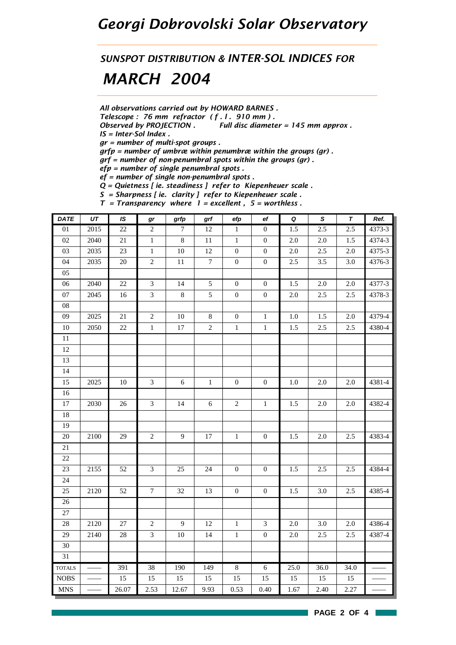## *Georgi Dobrovolski Solar Observatory*

*SUNSPOT DISTRIBUTION & INTER-SOL INDICES FOR*

## *MARCH 2004*

*All observations carried out by HOWARD BARNES .*

*Telescope : 76 mm refractor ( f . l . 910 mm ) .*

*Observed by PROJECTION . Full disc diameter = 145 mm approx . IS = Inter-Sol Index .*

*gr = number of multi-spot groups .*

*grfp = number of umbræ within penumbræ within the groups (gr) .*

*grf = number of non-penumbral spots within the groups (gr) .*

*efp = number of single penumbral spots .*

*ef = number of single non-penumbral spots .*

*Q = Quietness [ ie. steadiness ] refer to Kiepenheuer scale .*

*S = Sharpness [ ie. clarity ] refer to Kiepenheuer scale .*

*T = Transparency where 1 = excellent , 5 = worthless .*

| <b>DATE</b>   | $\overline{UT}$ | IS     | gr               | grfp             | grf              | efp              | $_{\rm ef}$      | $\pmb Q$ | $\mathsf{s}$ | $\pmb{\tau}$ | Ref.   |
|---------------|-----------------|--------|------------------|------------------|------------------|------------------|------------------|----------|--------------|--------------|--------|
| $01\,$        | 2015            | 22     | $\sqrt{2}$       | 7                | $12\,$           | $\mathbf{1}$     | $\boldsymbol{0}$ | 1.5      | 2.5          | 2.5          | 4373-3 |
| 02            | 2040            | 21     | $\,1$            | $8\,$            | $11\,$           | $\,1\,$          | $\boldsymbol{0}$ | $2.0\,$  | $2.0\,$      | 1.5          | 4374-3 |
| 03            | 2035            | 23     | $1\,$            | $10\,$           | 12               | $\boldsymbol{0}$ | $\boldsymbol{0}$ | $2.0\,$  | $2.5\,$      | 2.0          | 4375-3 |
| 04            | 2035            | 20     | $\sqrt{2}$       | $11\,$           | $\boldsymbol{7}$ | $\boldsymbol{0}$ | $\boldsymbol{0}$ | 2.5      | 3.5          | 3.0          | 4376-3 |
| 05            |                 |        |                  |                  |                  |                  |                  |          |              |              |        |
| 06            | 2040            | $22\,$ | $\overline{3}$   | 14               | $\mathfrak{S}$   | $\boldsymbol{0}$ | $\boldsymbol{0}$ | 1.5      | $2.0\,$      | $2.0\,$      | 4377-3 |
| 07            | 2045            | 16     | $\overline{3}$   | $8\,$            | $\sqrt{5}$       | $\boldsymbol{0}$ | $\boldsymbol{0}$ | $2.0\,$  | 2.5          | 2.5          | 4378-3 |
| ${\bf 08}$    |                 |        |                  |                  |                  |                  |                  |          |              |              |        |
| $09\,$        | 2025            | 21     | $\sqrt{2}$       | $10\,$           | $\,8\,$          | $\boldsymbol{0}$ | $1\,$            | 1.0      | 1.5          | 2.0          | 4379-4 |
| $10\,$        | 2050            | 22     | $\mathbf{1}$     | 17               | $\overline{2}$   | $\mathbf 1$      | $\,1\,$          | 1.5      | 2.5          | 2.5          | 4380-4 |
| $11\,$        |                 |        |                  |                  |                  |                  |                  |          |              |              |        |
| $12\,$        |                 |        |                  |                  |                  |                  |                  |          |              |              |        |
| 13            |                 |        |                  |                  |                  |                  |                  |          |              |              |        |
| 14            |                 |        |                  |                  |                  |                  |                  |          |              |              |        |
| 15            | 2025            | $10\,$ | $\mathfrak{Z}$   | $\sqrt{6}$       | $1\,$            | $\boldsymbol{0}$ | $\boldsymbol{0}$ | 1.0      | 2.0          | $2.0\,$      | 4381-4 |
| 16            |                 |        |                  |                  |                  |                  |                  |          |              |              |        |
| $17\,$        | 2030            | $26\,$ | $\mathfrak{Z}$   | 14               | 6                | $\sqrt{2}$       | $\,1\,$          | 1.5      | 2.0          | 2.0          | 4382-4 |
| $18\,$        |                 |        |                  |                  |                  |                  |                  |          |              |              |        |
| 19            |                 |        |                  |                  |                  |                  |                  |          |              |              |        |
| $20\,$        | 2100            | 29     | $\sqrt{2}$       | 9                | $17\,$           | $\,1\,$          | $\boldsymbol{0}$ | 1.5      | $2.0\,$      | 2.5          | 4383-4 |
| 21            |                 |        |                  |                  |                  |                  |                  |          |              |              |        |
| $22\,$        |                 |        |                  |                  |                  |                  |                  |          |              |              |        |
| $23\,$        | 2155            | 52     | $\mathfrak{Z}$   | 25               | 24               | $\boldsymbol{0}$ | $\boldsymbol{0}$ | 1.5      | 2.5          | 2.5          | 4384-4 |
| 24            |                 |        |                  |                  |                  |                  |                  |          |              |              |        |
| 25            | 2120            | 52     | $\boldsymbol{7}$ | 32               | 13               | $\boldsymbol{0}$ | $\boldsymbol{0}$ | 1.5      | 3.0          | 2.5          | 4385-4 |
| $26\,$        |                 |        |                  |                  |                  |                  |                  |          |              |              |        |
| 27            |                 |        |                  |                  |                  |                  |                  |          |              |              |        |
| $28\,$        | 2120            | $27\,$ | $\sqrt{2}$       | $\boldsymbol{9}$ | $12\,$           | $\,1\,$          | $\mathfrak{Z}$   | $2.0\,$  | 3.0          | $2.0\,$      | 4386-4 |
| 29            | 2140            | $28\,$ | $\mathfrak{Z}$   | $10\,$           | 14               | $\mathbf 1$      | $\boldsymbol{0}$ | $2.0\,$  | 2.5          | 2.5          | 4387-4 |
| $30\,$        |                 |        |                  |                  |                  |                  |                  |          |              |              |        |
| 31            |                 |        |                  |                  |                  |                  |                  |          |              |              |        |
| <b>TOTALS</b> |                 | 391    | $\overline{38}$  | 190              | 149              | $\overline{8}$   | $\sqrt{6}$       | 25.0     | 36.0         | 34.0         |        |
| <b>NOBS</b>   |                 | 15     | 15               | 15               | 15               | 15               | 15               | 15       | 15           | 15           |        |
| <b>MNS</b>    |                 | 26.07  | 2.53             | 12.67            | 9.93             | 0.53             | 0.40             | 1.67     | 2.40         | 2.27         |        |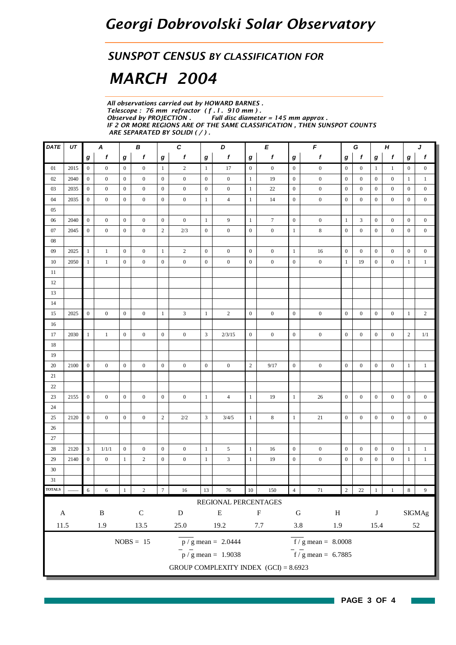#### *SUNSPOT CENSUS BY CLASSIFICATION FOR*

# *MARCH 2004*

*All observations carried out by HOWARD BARNES . Telescope : 76 mm refractor ( f . l . 910 mm ) . Observed by PROJECTION . Full disc diameter = 145 mm approx . IF 2 OR MORE REGIONS ARE OF THE SAME CLASSIFICATION , THEN SUNSPOT COUNTS ARE SEPARATED BY SOLIDI ( / ) .*

| DATE                       | UT   |                  | A                |                  | В                |                  | $\boldsymbol{c}$ |                  | D                                       |                  | E                |                  | $\pmb{\mathit{F}}$                        |                  | G                | Н                |                  |                  | J                |
|----------------------------|------|------------------|------------------|------------------|------------------|------------------|------------------|------------------|-----------------------------------------|------------------|------------------|------------------|-------------------------------------------|------------------|------------------|------------------|------------------|------------------|------------------|
|                            |      | $\boldsymbol{g}$ | f                | g                | f                | $\bm{g}$         | f                | $\boldsymbol{g}$ | f                                       | g                | f                | $\boldsymbol{g}$ | $\pmb{f}$                                 | g                | f                | $\bm{g}$         | f                | g                | $\boldsymbol{f}$ |
| 01                         | 2015 | $\overline{0}$   | $\boldsymbol{0}$ | $\mathbf{0}$     | $\mathbf{0}$     | $\mathbf{1}$     | $\overline{c}$   | $\mathbf{1}$     | 17                                      | $\boldsymbol{0}$ | $\boldsymbol{0}$ | $\mathbf{0}$     | $\boldsymbol{0}$                          | $\mathbf{0}$     | $\mathbf{0}$     | 1                | $\mathbf{1}$     | $\boldsymbol{0}$ | $\boldsymbol{0}$ |
| 02                         | 2040 | $\mathbf{0}$     | $\boldsymbol{0}$ | $\mathbf{0}$     | $\mathbf{0}$     | $\mathbf{0}$     | $\boldsymbol{0}$ | $\mathbf{0}$     | $\boldsymbol{0}$                        | $\mathbf{1}$     | 19               | $\mathbf{0}$     | $\boldsymbol{0}$                          | $\overline{0}$   | $\mathbf{0}$     | $\boldsymbol{0}$ | $\mathbf{0}$     | 1                | $\mathbf{1}$     |
| 03                         | 2035 | $\mathbf{0}$     | $\boldsymbol{0}$ | $\mathbf{0}$     | $\mathbf{0}$     | $\boldsymbol{0}$ | $\boldsymbol{0}$ | $\mathbf{0}$     | $\boldsymbol{0}$                        | $\mathbf{1}$     | 22               | $\mathbf{0}$     | $\boldsymbol{0}$                          | $\boldsymbol{0}$ | $\mathbf{0}$     | $\boldsymbol{0}$ | $\boldsymbol{0}$ | $\bf{0}$         | $\boldsymbol{0}$ |
| 04                         | 2035 | $\boldsymbol{0}$ | $\boldsymbol{0}$ | $\mathbf{0}$     | $\boldsymbol{0}$ | $\mathbf{0}$     | $\boldsymbol{0}$ | $\mathbf{1}$     | $\overline{4}$                          | $\mathbf{1}$     | 14               | $\mathbf{0}$     | $\boldsymbol{0}$                          | $\overline{0}$   | $\mathbf{0}$     | $\boldsymbol{0}$ | $\boldsymbol{0}$ | $\bf{0}$         | $\boldsymbol{0}$ |
| 05                         |      |                  |                  |                  |                  |                  |                  |                  |                                         |                  |                  |                  |                                           |                  |                  |                  |                  |                  |                  |
| $06\,$                     | 2040 | $\mathbf{0}$     | $\boldsymbol{0}$ | $\boldsymbol{0}$ | $\mathbf{0}$     | $\mathbf{0}$     | $\boldsymbol{0}$ | $\mathbf{1}$     | 9                                       | $\mathbf{1}$     | $\boldsymbol{7}$ | $\mathbf{0}$     | $\boldsymbol{0}$                          | $\mathbf{1}$     | 3                | $\boldsymbol{0}$ | $\mathbf{0}$     | $\overline{0}$   | $\boldsymbol{0}$ |
| 07                         | 2045 | $\mathbf{0}$     | $\boldsymbol{0}$ | $\mathbf{0}$     | $\mathbf{0}$     | $\sqrt{2}$       | 2/3              | $\boldsymbol{0}$ | $\boldsymbol{0}$                        | $\mathbf{0}$     | $\boldsymbol{0}$ | -1               | $\,8\,$                                   | $\boldsymbol{0}$ | $\mathbf{0}$     | $\bf{0}$         | $\boldsymbol{0}$ | $\bf{0}$         | $\boldsymbol{0}$ |
| $08\,$                     |      |                  |                  |                  |                  |                  |                  |                  |                                         |                  |                  |                  |                                           |                  |                  |                  |                  |                  |                  |
| 09                         | 2025 | $\mathbf{1}$     | $\mathbf{1}$     | $\mathbf{0}$     | $\mathbf{0}$     | $\mathbf{1}$     | $\overline{c}$   | $\mathbf{0}$     | $\boldsymbol{0}$                        | $\boldsymbol{0}$ | $\boldsymbol{0}$ | $\mathbf{1}$     | 16                                        | $\mathbf{0}$     | $\mathbf{0}$     | $\boldsymbol{0}$ | $\boldsymbol{0}$ | $\bf{0}$         | $\boldsymbol{0}$ |
| 10                         | 2050 | $\mathbf{1}$     | $\mathbf{1}$     | $\mathbf{0}$     | $\mathbf{0}$     | $\boldsymbol{0}$ | $\boldsymbol{0}$ | $\boldsymbol{0}$ | $\boldsymbol{0}$                        | $\bf{0}$         | $\boldsymbol{0}$ | $\mathbf{0}$     | $\boldsymbol{0}$                          | $\mathbf{1}$     | 19               | $\boldsymbol{0}$ | $\boldsymbol{0}$ | 1                | $\mathbf{1}$     |
| 11                         |      |                  |                  |                  |                  |                  |                  |                  |                                         |                  |                  |                  |                                           |                  |                  |                  |                  |                  |                  |
| 12                         |      |                  |                  |                  |                  |                  |                  |                  |                                         |                  |                  |                  |                                           |                  |                  |                  |                  |                  |                  |
| 13                         |      |                  |                  |                  |                  |                  |                  |                  |                                         |                  |                  |                  |                                           |                  |                  |                  |                  |                  |                  |
| 14                         |      |                  |                  |                  |                  |                  |                  |                  |                                         |                  |                  |                  |                                           |                  |                  |                  |                  |                  |                  |
| 15                         | 2025 | $\mathbf{0}$     | $\boldsymbol{0}$ | $\mathbf{0}$     | $\boldsymbol{0}$ | $\mathbf{1}$     | $\mathfrak{Z}$   | $\mathbf{1}$     | $\sqrt{2}$                              | $\mathbf{0}$     | $\boldsymbol{0}$ | $\mathbf{0}$     | $\boldsymbol{0}$                          | $\mathbf{0}$     | $\mathbf{0}$     | $\boldsymbol{0}$ | $\boldsymbol{0}$ | $\mathbf{1}$     | $\sqrt{2}$       |
| 16                         |      |                  |                  |                  |                  |                  |                  |                  |                                         |                  |                  |                  |                                           |                  |                  |                  |                  |                  |                  |
| 17                         | 2030 | $\mathbf{1}$     | $\mathbf{1}$     | $\boldsymbol{0}$ | $\mathbf{0}$     | $\mathbf{0}$     | $\mathbf{0}$     | $\mathfrak{Z}$   | 2/3/15                                  | $\mathbf{0}$     | $\mathbf{0}$     | $\mathbf{0}$     | $\boldsymbol{0}$                          | $\mathbf{0}$     | $\boldsymbol{0}$ | $\mathbf{0}$     | $\mathbf{0}$     | $\mathbf{2}$     | 1/1              |
| 18                         |      |                  |                  |                  |                  |                  |                  |                  |                                         |                  |                  |                  |                                           |                  |                  |                  |                  |                  |                  |
| 19                         |      |                  |                  |                  |                  |                  |                  |                  |                                         |                  |                  |                  |                                           |                  |                  |                  |                  |                  |                  |
| 20                         | 2100 | $\boldsymbol{0}$ | $\mathbf{0}$     | $\mathbf{0}$     | $\mathbf{0}$     | $\mathbf{0}$     | $\boldsymbol{0}$ | $\boldsymbol{0}$ | $\boldsymbol{0}$                        | $\mathbf{2}$     | 9/17             | $\mathbf{0}$     | $\boldsymbol{0}$                          | $\mathbf{0}$     | $\mathbf{0}$     | $\boldsymbol{0}$ | $\boldsymbol{0}$ | $\mathbf{1}$     | $\mathbf{1}$     |
| 21                         |      |                  |                  |                  |                  |                  |                  |                  |                                         |                  |                  |                  |                                           |                  |                  |                  |                  |                  |                  |
| $22\,$                     |      |                  |                  |                  |                  |                  |                  |                  |                                         |                  |                  |                  |                                           |                  |                  |                  |                  |                  |                  |
| 23                         | 2155 | $\boldsymbol{0}$ | $\mathbf{0}$     | $\mathbf{0}$     | $\mathbf{0}$     | $\mathbf{0}$     | $\mathbf{0}$     | $\mathbf{1}$     | $\overline{4}$                          | $\mathbf{1}$     | 19               | $\mathbf{1}$     | 26                                        | $\overline{0}$   | $\mathbf{0}$     | $\mathbf{0}$     | $\mathbf{0}$     | $\boldsymbol{0}$ | $\boldsymbol{0}$ |
| 24                         |      |                  |                  |                  |                  |                  |                  |                  |                                         |                  |                  |                  |                                           |                  |                  |                  |                  |                  |                  |
| 25                         | 2120 | $\mathbf{0}$     | $\overline{0}$   | $\mathbf{0}$     | $\mathbf{0}$     | $\sqrt{2}$       | 2/2              | $\mathfrak{Z}$   | 3/4/5                                   | $\mathbf{1}$     | 8                | $\mathbf{1}$     | 21                                        | $\mathbf{0}$     | $\mathbf{0}$     | $\mathbf{0}$     | $\mathbf{0}$     | $\boldsymbol{0}$ | $\boldsymbol{0}$ |
| 26                         |      |                  |                  |                  |                  |                  |                  |                  |                                         |                  |                  |                  |                                           |                  |                  |                  |                  |                  |                  |
| 27                         |      |                  |                  |                  |                  |                  |                  |                  |                                         |                  |                  |                  |                                           |                  |                  |                  |                  |                  |                  |
| 28                         | 2120 | $\mathbf{3}$     | 1/1/1            | $\mathbf{0}$     | $\mathbf{0}$     | $\mathbf{0}$     | $\boldsymbol{0}$ | $\mathbf{1}$     | 5                                       | $\mathbf{1}$     | 16               | $\boldsymbol{0}$ | $\boldsymbol{0}$                          | $\mathbf{0}$     | $\boldsymbol{0}$ | $\boldsymbol{0}$ | $\boldsymbol{0}$ | $\mathbf{1}$     | $\mathbf{1}$     |
| 29                         | 2140 | $\mathbf{0}$     | $\boldsymbol{0}$ | -1               | $\overline{c}$   | $\boldsymbol{0}$ | $\boldsymbol{0}$ | $\mathbf{1}$     | $\mathfrak{Z}$                          | $\mathbf{1}$     | 19               | $\boldsymbol{0}$ | $\boldsymbol{0}$                          | $\boldsymbol{0}$ | $\mathbf{0}$     | $\boldsymbol{0}$ | $\boldsymbol{0}$ | $\mathbf{1}$     | $\mathbf{1}$     |
| $30\,$                     |      |                  |                  |                  |                  |                  |                  |                  |                                         |                  |                  |                  |                                           |                  |                  |                  |                  |                  |                  |
| 31                         |      |                  |                  |                  |                  |                  |                  |                  |                                         |                  |                  |                  |                                           |                  |                  |                  |                  |                  |                  |
| $\overline{\text{TOTALS}}$ |      | $\sqrt{6}$       | $\sqrt{6}$       | $\mathbf{1}$     | $\sqrt{2}$       | $\overline{7}$   | $16\,$           | 13               | $76\,$                                  | $10\,$           | 150              | $\sqrt{4}$       | $71\,$                                    | $\overline{2}$   | $22\,$           | $\vert$ 1        | $\,1\,$          | 8                | $\boldsymbol{9}$ |
|                            |      |                  |                  |                  |                  |                  |                  |                  | REGIONAL PERCENTAGES                    |                  |                  |                  |                                           |                  |                  |                  |                  |                  |                  |
| $\mathbf A$                |      |                  | $\, {\bf B}$     |                  | ${\bf C}$        |                  | ${\bf D}$        |                  | ${\bf E}$                               |                  | $\mathbf F$      | ${\bf G}$        | $\, {\rm H}$                              |                  |                  | $\bf J$          |                  |                  | <b>SIGMAg</b>    |
| $11.5\,$                   |      |                  | 1.9              |                  | $13.5\,$         |                  | $25.0\,$         |                  | 19.2                                    |                  | $7.7\,$          | $3.8\,$          | 1.9                                       |                  |                  | 15.4             |                  |                  | $52\,$           |
|                            |      |                  |                  |                  |                  |                  |                  |                  |                                         |                  |                  |                  |                                           |                  |                  |                  |                  |                  |                  |
|                            |      |                  |                  |                  | $NOBS = 15$      |                  |                  |                  | $p / g$ mean = 2.0444                   |                  |                  |                  | $\overline{f}/\overline{g}$ mean = 8.0008 |                  |                  |                  |                  |                  |                  |
|                            |      |                  |                  |                  |                  |                  |                  |                  | $\frac{1}{p}$ / g mean = 1.9038         |                  |                  |                  | $f/g$ mean = 6.7885                       |                  |                  |                  |                  |                  |                  |
|                            |      |                  |                  |                  |                  |                  |                  |                  |                                         |                  |                  |                  |                                           |                  |                  |                  |                  |                  |                  |
|                            |      |                  |                  |                  |                  |                  |                  |                  | GROUP COMPLEXITY INDEX $(GCI) = 8.6923$ |                  |                  |                  |                                           |                  |                  |                  |                  |                  |                  |

**The State**